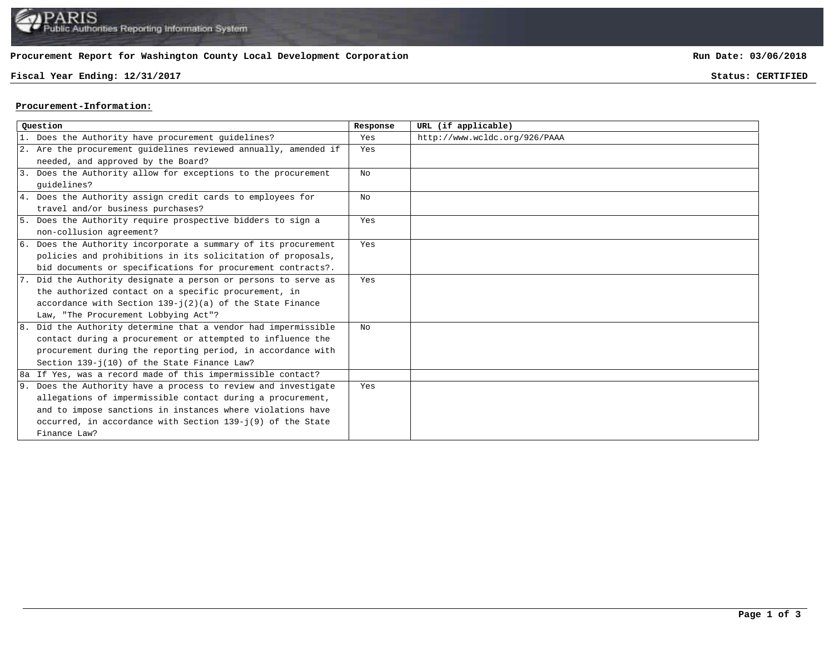## **Procurement Report for Washington County Local Development Corporation**

## **Fiscal Year Ending: 12/31/2017 Status: CERTIFIED**

**Run Date: 03/06/2018**

## **Procurement-Information:**

| Ouestion |                                                                 | Response       | URL (if applicable)           |
|----------|-----------------------------------------------------------------|----------------|-------------------------------|
|          | 1. Does the Authority have procurement quidelines?              | Yes            | http://www.wcldc.org/926/PAAA |
|          | 2. Are the procurement quidelines reviewed annually, amended if | Yes            |                               |
|          | needed, and approved by the Board?                              |                |                               |
|          | 3. Does the Authority allow for exceptions to the procurement   | N <sub>O</sub> |                               |
|          | quidelines?                                                     |                |                               |
|          | 4. Does the Authority assign credit cards to employees for      | No             |                               |
|          | travel and/or business purchases?                               |                |                               |
|          | 5. Does the Authority require prospective bidders to sign a     | Yes            |                               |
|          | non-collusion agreement?                                        |                |                               |
|          | 6. Does the Authority incorporate a summary of its procurement  | Yes            |                               |
|          | policies and prohibitions in its solicitation of proposals,     |                |                               |
|          | bid documents or specifications for procurement contracts?.     |                |                               |
|          | 7. Did the Authority designate a person or persons to serve as  | Yes            |                               |
|          | the authorized contact on a specific procurement, in            |                |                               |
|          | accordance with Section $139 - j(2)(a)$ of the State Finance    |                |                               |
|          | Law, "The Procurement Lobbying Act"?                            |                |                               |
|          | 8. Did the Authority determine that a vendor had impermissible  | NΩ             |                               |
|          | contact during a procurement or attempted to influence the      |                |                               |
|          | procurement during the reporting period, in accordance with     |                |                               |
|          | Section 139-j(10) of the State Finance Law?                     |                |                               |
|          | 8a If Yes, was a record made of this impermissible contact?     |                |                               |
|          | 9. Does the Authority have a process to review and investigate  | Yes            |                               |
|          | allegations of impermissible contact during a procurement,      |                |                               |
|          | and to impose sanctions in instances where violations have      |                |                               |
|          | occurred, in accordance with Section 139-j(9) of the State      |                |                               |
|          | Finance Law?                                                    |                |                               |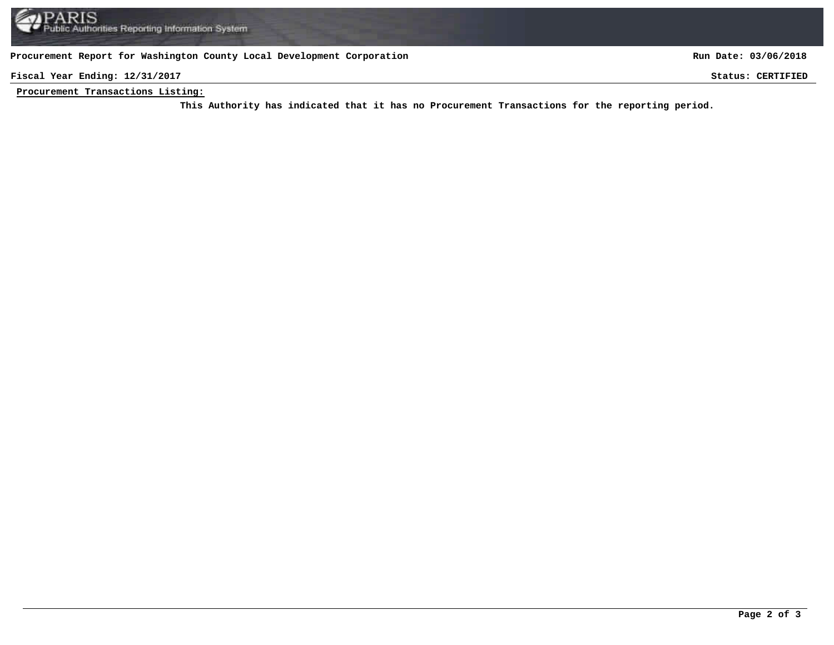**Procurement Report for Washington County Local Development Corporation**

**Run Date: 03/06/2018**

**Fiscal Year Ending: 12/31/2017 Status: CERTIFIED**

**Procurement Transactions Listing:**

This Authority has indicated that it has no Procurement Transactions for the reporting period.